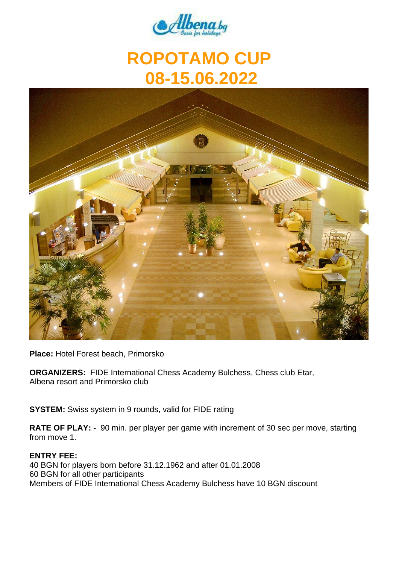

# **ROPOTAMO CUP 08-15.06.2022**



**Place:** Hotel Forest beach, Primorsko

**ORGANIZERS:** FIDE International Chess Academy Bulchess, Chess club Etar, Albena resort and Primorsko club

**SYSTEM:** Swiss system in 9 rounds, valid for FIDE rating

**RATE OF PLAY: -** 90 min. per player per game with increment of 30 sec per move, starting from move 1.

#### **ENTRY FEE:**

40 BGN for players born before 31.12.1962 and after 01.01.2008 60 BGN for all other participants Members of FIDE International Chess Academy Bulchess have 10 BGN discount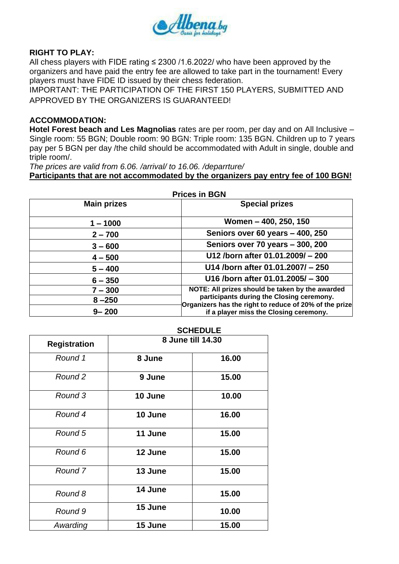

## **RIGHT TO PLAY:**

All chess players with FIDE rating  $\leq$  2300 /1.6.2022/ who have been approved by the organizers and have paid the entry fee are allowed to take part in the tournament! Every players must have FIDE ID issued by their chess federation.

IMPORTANT: THE PARTICIPATION OF THE FIRST 150 PLAYERS, SUBMITTED AND APPROVED BY THE ORGANIZERS IS GUARANTEED!

### **ACCOMMODATION:**

**Hotel Forest beach and Les Magnolias** rates are per room, per day and on All Inclusive – Single room: 55 BGN; Double room: 90 BGN: Triple room: 135 BGN. Children up to 7 years pay per 5 BGN per day /the child should be accommodated with Adult in single, double and triple room/.

*The prices are valid from 6.06. /arrival/ to 16.06. /deparrture/*

**Participants that are not accommodated by the organizers pay entry fee of 100 BGN!** 

|                    | <b>Prices in BGN</b>                                                                                |
|--------------------|-----------------------------------------------------------------------------------------------------|
| <b>Main prizes</b> | <b>Special prizes</b>                                                                               |
| $1 - 1000$         | Women - 400, 250, 150                                                                               |
| $2 - 700$          | Seniors over 60 years - 400, 250                                                                    |
| $3 - 600$          | Seniors over 70 years - 300, 200                                                                    |
| $4 - 500$          | U12 /born after 01.01.2009/ - 200                                                                   |
| $5 - 400$          | U14 /born after 01.01.2007/ - 250                                                                   |
| $6 - 350$          | U16 /born after 01.01.2005/ - 300                                                                   |
| $7 - 300$          | NOTE: All prizes should be taken by the awarded                                                     |
| $8 - 250$          | participants during the Closing ceremony.<br>Organizers has the right to reduce of 20% of the prize |
| $9 - 200$          | if a player miss the Closing ceremony.                                                              |

|                     |                   | UVIILVULL |
|---------------------|-------------------|-----------|
| <b>Registration</b> | 8 June till 14.30 |           |
| Round 1             | 8 June            | 16.00     |
| Round 2             | 9 June            | 15.00     |
| Round 3             | 10 June           | 10.00     |
| Round 4             | 10 June           | 16.00     |
| Round 5             | 11 June           | 15.00     |
| Round 6             | 12 June           | 15.00     |
| Round 7             | 13 June           | 15.00     |
| Round 8             | 14 June           | 15.00     |
| Round 9             | 15 June           | 10.00     |
| Awarding            | 15 June           | 15.00     |

#### **SCHEDULE**